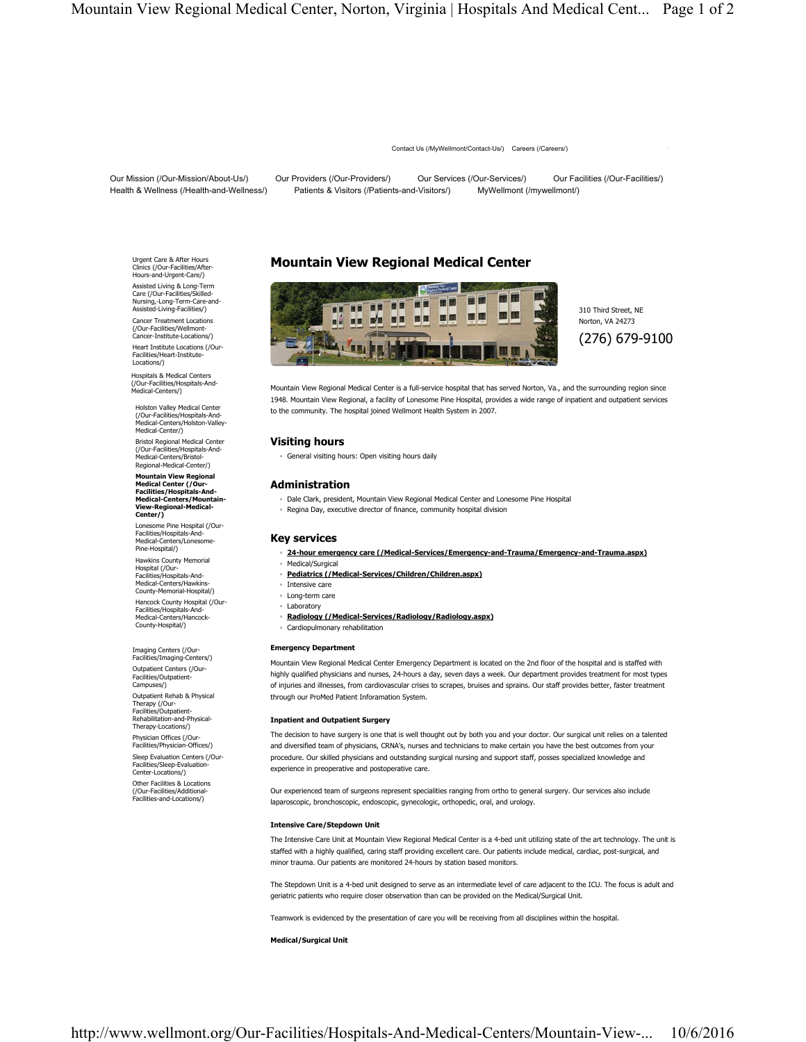Contact Us (/MyWellmont/Contact-Us/) Careers (/Careers/)

Our Mission (/Our-Mission/About-Us/) Our Providers (/Our-Providers/) Our Services (/Our-Services/) Our Facilities (/Our-Facilities/) Health & Wellness (/Health-and-Wellness/) Patients & Visitors (/Patients-and-Visitors/) MyWellmont (/mywellmont/)

Urgent Care & After Hours Clinics (/Our-Facilities/After-Hours-and-Urgent-Care/) Assisted Living & Long-Term Care (/Our-Facilities/Skilled-Nursing,-Long-Term-Care-and-Assisted-Living-Facilities/) Cancer Treatment Locations (/Our-Facilities/Wellmont-Cancer-Institute-Locations/) Heart Institute Locations (/Our-Facilities/Heart-Institute-Locations/)

Hospitals & Medical Centers (/Our-Facilities/Hospitals-And-Medical-Centers/)

Holston Valley Medical Center (/Our-Facilities/Hospitals-And-Medical-Centers/Holston-Valley-Medical-Center/) Bristol Regional Medical Center

(/Our-Facilities/Hospitals-And-Medical-Centers/Bristol-Regional-Medical-Center/)

**Mountain View Regional Medical Center (/Our-Facilities/Hospitals-And-Medical-Centers/Mountain-View-Regional-Medical-Center/)**

Lonesome Pine Hospital (/Our-Facilities/Hospitals-And-Medical-Centers/Lonesome-Pine-Hospital/) Hawkins County Memorial Hospital (/Our-Facilities/Hospitals-And-Medical-Centers/Hawkins-County-Memorial-Hospital/) Hancock County Hospital (/Our-Facilities/Hospitals-And-Medical-Centers/Hancock-County-Hospital/)

Imaging Centers (/Our-Facilities/Imaging-Centers/) Outpatient Centers (/Our-

Facilities/Outpatient-Campuses/) Outpatient Rehab & Physical Therapy (/Our-Facilities/Outpatient-Rehabilitation-and-Physical-Therapy-Locations/) Physician Offices (/Our-

Facilities/Physician-Offices/)

Sleep Evaluation Centers (/Our-Facilities/Sleep-Evaluation-Center-Locations/)

Other Facilities & Locations (/Our-Facilities/Additional-Facilities-and-Locations/)

# **Mountain View Regional Medical Center**



310 Third Street, NE Norton, VA 24273 (276) 679-9100

Mountain View Regional Medical Center is a full-service hospital that has served Norton, Va., and the surrounding region since 1948. Mountain View Regional, a facility of Lonesome Pine Hospital, provides a wide range of inpatient and outpatient services to the community. The hospital joined Wellmont Health System in 2007.

## **Visiting hours**

◦ General visiting hours: Open visiting hours daily

## **Administration**

- Dale Clark, president, Mountain View Regional Medical Center and Lonesome Pine Hospital
- Regina Day, executive director of finance, community hospital division

### **Key services**

- **24-hour emergency care (/Medical-Services/Emergency-and-Trauma/Emergency-and-Trauma.aspx)**
- Medical/Surgical
- **Pediatrics (/Medical-Services/Children/Children.aspx)**
- Intensive care
- Long-term care ◦ Laboratory
- **Radiology (/Medical-Services/Radiology/Radiology.aspx)**
- Cardiopulmonary rehabilitation

#### **Emergency Department**

Mountain View Regional Medical Center Emergency Department is located on the 2nd floor of the hospital and is staffed with highly qualified physicians and nurses, 24-hours a day, seven days a week. Our department provides treatment for most types of injuries and illnesses, from cardiovascular crises to scrapes, bruises and sprains. Our staff provides better, faster treatment through our ProMed Patient Inforamation System.

#### **Inpatient and Outpatient Surgery**

The decision to have surgery is one that is well thought out by both you and your doctor. Our surgical unit relies on a talented and diversified team of physicians, CRNA's, nurses and technicians to make certain you have the best outcomes from your procedure. Our skilled physicians and outstanding surgical nursing and support staff, posses specialized knowledge and experience in preoperative and postoperative care.

Our experienced team of surgeons represent specialities ranging from ortho to general surgery. Our services also include laparoscopic, bronchoscopic, endoscopic, gynecologic, orthopedic, oral, and urology.

#### **Intensive Care/Stepdown Unit**

The Intensive Care Unit at Mountain View Regional Medical Center is a 4-bed unit utilizing state of the art technology. The unit is staffed with a highly qualified, caring staff providing excellent care. Our patients include medical, cardiac, post-surgical, and minor trauma. Our patients are monitored 24-hours by station based monitors.

The Stepdown Unit is a 4-bed unit designed to serve as an intermediate level of care adjacent to the ICU. The focus is adult and geriatric patients who require closer observation than can be provided on the Medical/Surgical Unit.

Teamwork is evidenced by the presentation of care you will be receiving from all disciplines within the hospital.

#### **Medical/Surgical Unit**